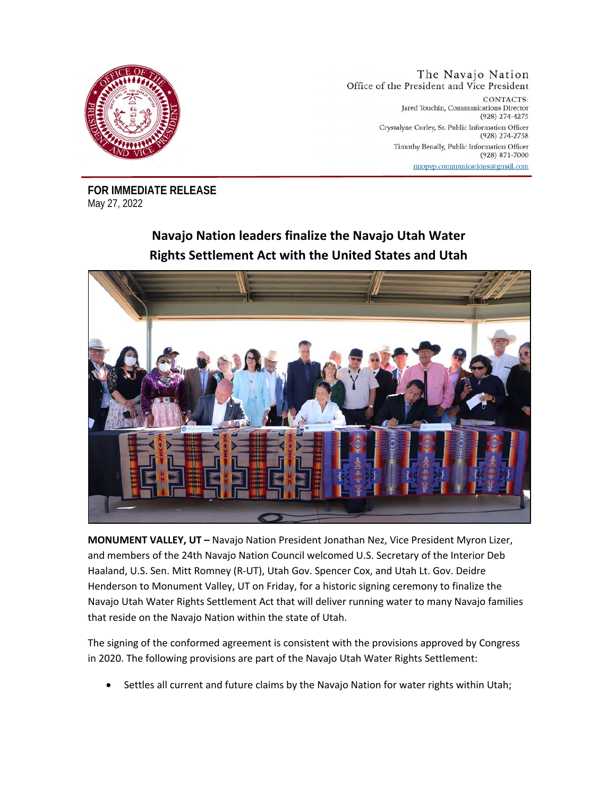

The Navajo Nation Office of the President and Vice President CONTACTS: Jared Touchin, Communications Director (928) 274-4275 Crystalyne Curley, Sr. Public Information Officer (928) 274-2758 Timothy Benally, Public Information Officer  $(928)$  871-7000 nnopvp.communications@gmail.com

**FOR IMMEDIATE RELEASE**  May 27, 2022

## **Navajo Nation leaders finalize the Navajo Utah Water Rights Settlement Act with the United States and Utah**



**MONUMENT VALLEY, UT –** Navajo Nation President Jonathan Nez, Vice President Myron Lizer, and members of the 24th Navajo Nation Council welcomed U.S. Secretary of the Interior Deb Haaland, U.S. Sen. Mitt Romney (R-UT), Utah Gov. Spencer Cox, and Utah Lt. Gov. Deidre Henderson to Monument Valley, UT on Friday, for a historic signing ceremony to finalize the Navajo Utah Water Rights Settlement Act that will deliver running water to many Navajo families that reside on the Navajo Nation within the state of Utah.

The signing of the conformed agreement is consistent with the provisions approved by Congress in 2020. The following provisions are part of the Navajo Utah Water Rights Settlement:

• Settles all current and future claims by the Navajo Nation for water rights within Utah;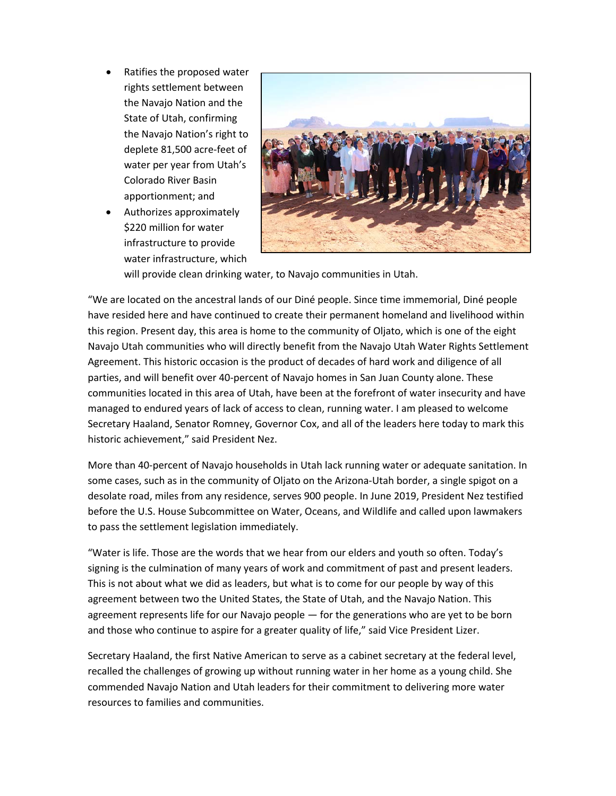- Ratifies the proposed water rights settlement between the Navajo Nation and the State of Utah, confirming the Navajo Nation's right to deplete 81,500 acre-feet of water per year from Utah's Colorado River Basin apportionment; and
- Authorizes approximately \$220 million for water infrastructure to provide water infrastructure, which



will provide clean drinking water, to Navajo communities in Utah.

"We are located on the ancestral lands of our Diné people. Since time immemorial, Diné people have resided here and have continued to create their permanent homeland and livelihood within this region. Present day, this area is home to the community of Oljato, which is one of the eight Navajo Utah communities who will directly benefit from the Navajo Utah Water Rights Settlement Agreement. This historic occasion is the product of decades of hard work and diligence of all parties, and will benefit over 40-percent of Navajo homes in San Juan County alone. These communities located in this area of Utah, have been at the forefront of water insecurity and have managed to endured years of lack of access to clean, running water. I am pleased to welcome Secretary Haaland, Senator Romney, Governor Cox, and all of the leaders here today to mark this historic achievement," said President Nez.

More than 40-percent of Navajo households in Utah lack running water or adequate sanitation. In some cases, such as in the community of Oljato on the Arizona-Utah border, a single spigot on a desolate road, miles from any residence, serves 900 people. In June 2019, President Nez testified before the U.S. House Subcommittee on Water, Oceans, and Wildlife and called upon lawmakers to pass the settlement legislation immediately.

"Water is life. Those are the words that we hear from our elders and youth so often. Today's signing is the culmination of many years of work and commitment of past and present leaders. This is not about what we did as leaders, but what is to come for our people by way of this agreement between two the United States, the State of Utah, and the Navajo Nation. This agreement represents life for our Navajo people — for the generations who are yet to be born and those who continue to aspire for a greater quality of life," said Vice President Lizer.

Secretary Haaland, the first Native American to serve as a cabinet secretary at the federal level, recalled the challenges of growing up without running water in her home as a young child. She commended Navajo Nation and Utah leaders for their commitment to delivering more water resources to families and communities.